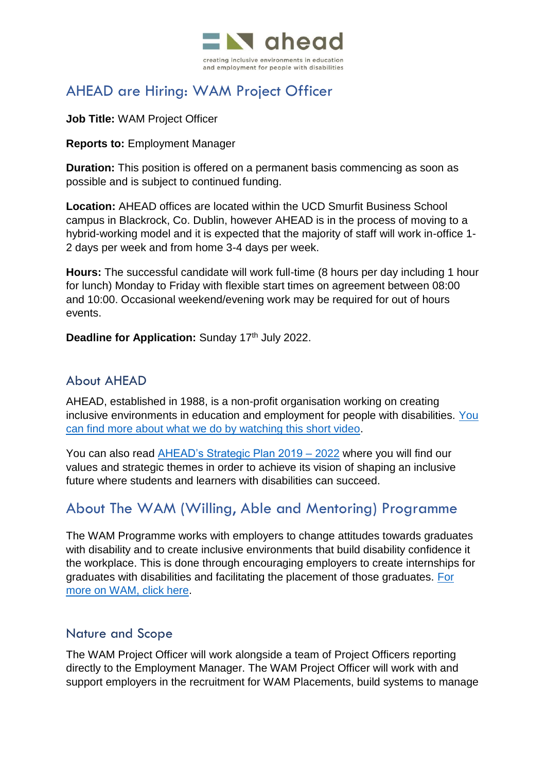

# AHEAD are Hiring: WAM Project Officer

**Job Title:** WAM Project Officer

**Reports to:** Employment Manager

**Duration:** This position is offered on a permanent basis commencing as soon as possible and is subject to continued funding.

**Location:** AHEAD offices are located within the UCD Smurfit Business School campus in Blackrock, Co. Dublin, however AHEAD is in the process of moving to a hybrid-working model and it is expected that the majority of staff will work in-office 1- 2 days per week and from home 3-4 days per week.

**Hours:** The successful candidate will work full-time (8 hours per day including 1 hour for lunch) Monday to Friday with flexible start times on agreement between 08:00 and 10:00. Occasional weekend/evening work may be required for out of hours events.

**Deadline for Application:** Sunday 17<sup>th</sup> July 2022.

### About AHEAD

AHEAD, established in 1988, is a non-profit organisation working on creating inclusive environments in education and employment for people with disabilities. You [can find more about what we do by watching this short video.](https://youtu.be/EHdlo7-3pbc)

You can also read [AHEAD's Strategic Plan 2019 –](https://ahead.ie/new-strategic-plan) 2022 where you will find our values and strategic themes in order to achieve its vision of shaping an inclusive future where students and learners with disabilities can succeed.

# About The WAM (Willing, Able and Mentoring) Programme

The WAM Programme works with employers to change attitudes towards graduates with disability and to create inclusive environments that build disability confidence it the workplace. This is done through encouraging employers to create internships for graduates with disabilities and facilitating the placement of those graduates. [For](http://www.ahead.ie/wam)  [more on WAM, click here.](http://www.ahead.ie/wam)

### Nature and Scope

The WAM Project Officer will work alongside a team of Project Officers reporting directly to the Employment Manager. The WAM Project Officer will work with and support employers in the recruitment for WAM Placements, build systems to manage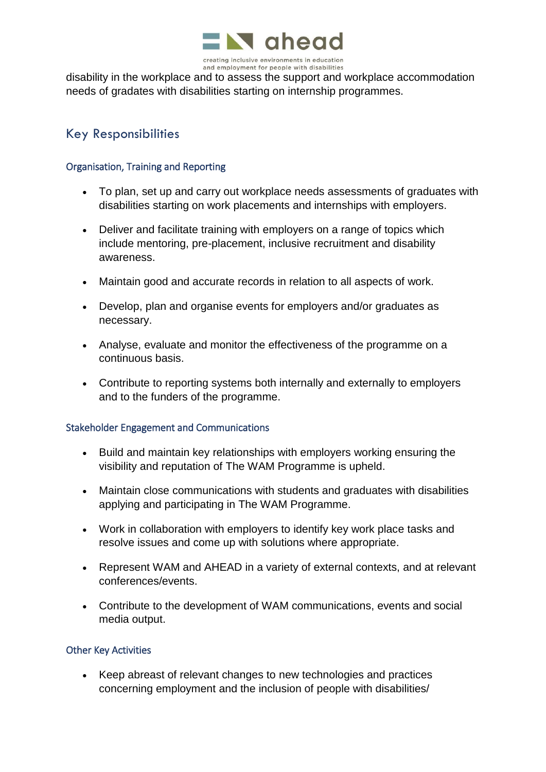

disability in the workplace and to assess the support and workplace accommodation needs of gradates with disabilities starting on internship programmes.

# Key Responsibilities

#### Organisation, Training and Reporting

- To plan, set up and carry out workplace needs assessments of graduates with disabilities starting on work placements and internships with employers.
- Deliver and facilitate training with employers on a range of topics which include mentoring, pre-placement, inclusive recruitment and disability awareness.
- Maintain good and accurate records in relation to all aspects of work.
- Develop, plan and organise events for employers and/or graduates as necessary.
- Analyse, evaluate and monitor the effectiveness of the programme on a continuous basis.
- Contribute to reporting systems both internally and externally to employers and to the funders of the programme.

#### Stakeholder Engagement and Communications

- Build and maintain key relationships with employers working ensuring the visibility and reputation of The WAM Programme is upheld.
- Maintain close communications with students and graduates with disabilities applying and participating in The WAM Programme.
- Work in collaboration with employers to identify key work place tasks and resolve issues and come up with solutions where appropriate.
- Represent WAM and AHEAD in a variety of external contexts, and at relevant conferences/events.
- Contribute to the development of WAM communications, events and social media output.

#### Other Key Activities

• Keep abreast of relevant changes to new technologies and practices concerning employment and the inclusion of people with disabilities/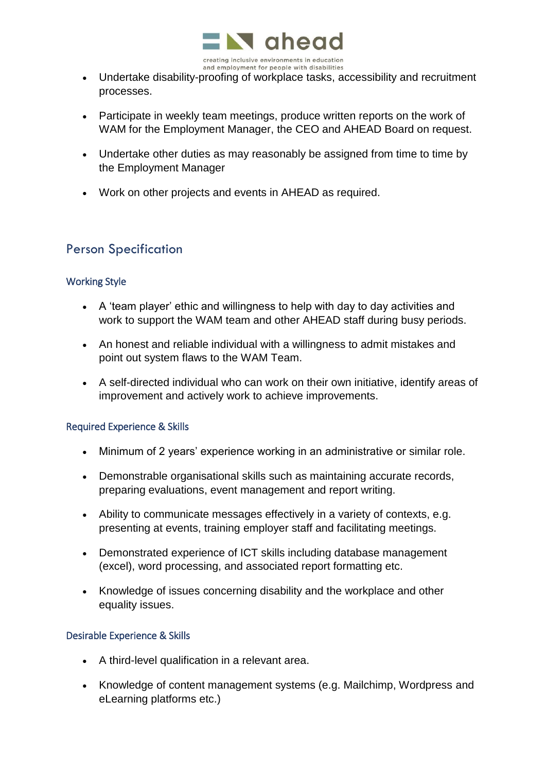

- Undertake disability-proofing of workplace tasks, accessibility and recruitment processes.
- Participate in weekly team meetings, produce written reports on the work of WAM for the Employment Manager, the CEO and AHEAD Board on request.
- Undertake other duties as may reasonably be assigned from time to time by the Employment Manager
- Work on other projects and events in AHEAD as required.

## Person Specification

#### Working Style

- A 'team player' ethic and willingness to help with day to day activities and work to support the WAM team and other AHEAD staff during busy periods.
- An honest and reliable individual with a willingness to admit mistakes and point out system flaws to the WAM Team.
- A self-directed individual who can work on their own initiative, identify areas of improvement and actively work to achieve improvements.

#### Required Experience & Skills

- Minimum of 2 years' experience working in an administrative or similar role.
- Demonstrable organisational skills such as maintaining accurate records, preparing evaluations, event management and report writing.
- Ability to communicate messages effectively in a variety of contexts, e.g. presenting at events, training employer staff and facilitating meetings.
- Demonstrated experience of ICT skills including database management (excel), word processing, and associated report formatting etc.
- Knowledge of issues concerning disability and the workplace and other equality issues.

#### Desirable Experience & Skills

- A third-level qualification in a relevant area.
- Knowledge of content management systems (e.g. Mailchimp, Wordpress and eLearning platforms etc.)